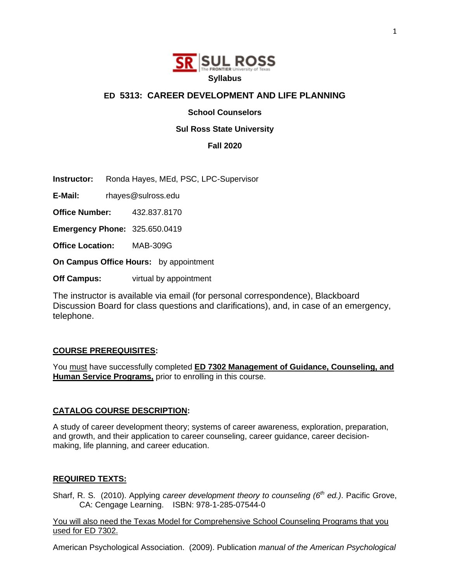

# **ED 5313: CAREER DEVELOPMENT AND LIFE PLANNING**

**School Counselors** 

### **Sul Ross State University**

**Fall 2020**

**Instructor:** Ronda Hayes, MEd, PSC, LPC-Supervisor

**E-Mail:** rhayes@sulross.edu

**Office Number:** 432.837.8170

**Emergency Phone:** 325.650.0419

**Office Location:** MAB-309G

**On Campus Office Hours:** by appointment

**Off Campus:** virtual by appointment

The instructor is available via email (for personal correspondence), Blackboard Discussion Board for class questions and clarifications), and, in case of an emergency, telephone.

#### **COURSE PREREQUISITES:**

You must have successfully completed **ED 7302 Management of Guidance, Counseling, and Human Service Programs,** prior to enrolling in this course.

#### **CATALOG COURSE DESCRIPTION:**

A study of career development theory; systems of career awareness, exploration, preparation, and growth, and their application to career counseling, career guidance, career decisionmaking, life planning, and career education.

#### **REQUIRED TEXTS:**

Sharf, R. S. (2010). Applying *career development theory to counseling (6<sup>th</sup> ed.)*. Pacific Grove, CA: Cengage Learning. ISBN: 978-1-285-07544-0

You will also need the Texas Model for Comprehensive School Counseling Programs that you used for ED 7302.

American Psychological Association. (2009). Publication *manual of the American Psychological*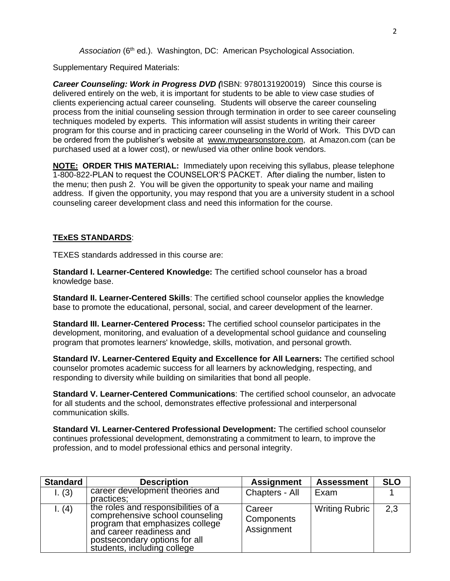*Association* (6th ed.). Washington, DC: American Psychological Association.

Supplementary Required Materials:

*Career Counseling: Work in Progress DVD (*ISBN: 9780131920019) Since this course is delivered entirely on the web, it is important for students to be able to view case studies of clients experiencing actual career counseling. Students will observe the career counseling process from the initial counseling session through termination in order to see career counseling techniques modeled by experts. This information will assist students in writing their career program for this course and in practicing career counseling in the World of Work. This DVD can be ordered from the publisher's website at www.mypearsonstore.com, at Amazon.com (can be purchased used at a lower cost), or new/used via other online book vendors.

**NOTE: ORDER THIS MATERIAL:** Immediately upon receiving this syllabus, please telephone 1-800-822-PLAN to request the COUNSELOR'S PACKET. After dialing the number, listen to the menu; then push 2. You will be given the opportunity to speak your name and mailing address. If given the opportunity, you may respond that you are a university student in a school counseling career development class and need this information for the course.

# **TExES STANDARDS**:

TEXES standards addressed in this course are:

**Standard I. Learner-Centered Knowledge:** The certified school counselor has a broad knowledge base.

**Standard II. Learner-Centered Skills**: The certified school counselor applies the knowledge base to promote the educational, personal, social, and career development of the learner.

**Standard III. Learner-Centered Process:** The certified school counselor participates in the development, monitoring, and evaluation of a developmental school guidance and counseling program that promotes learners' knowledge, skills, motivation, and personal growth.

**Standard IV. Learner-Centered Equity and Excellence for All Learners:** The certified school counselor promotes academic success for all learners by acknowledging, respecting, and responding to diversity while building on similarities that bond all people.

**Standard V. Learner-Centered Communications**: The certified school counselor, an advocate for all students and the school, demonstrates effective professional and interpersonal communication skills.

**Standard VI. Learner-Centered Professional Development:** The certified school counselor continues professional development, demonstrating a commitment to learn, to improve the profession, and to model professional ethics and personal integrity.

| <b>Standard</b> | <b>Description</b>                                                                                                                                                                                    | <b>Assignment</b>                  | <b>Assessment</b>     | <b>SLO</b> |
|-----------------|-------------------------------------------------------------------------------------------------------------------------------------------------------------------------------------------------------|------------------------------------|-----------------------|------------|
| 1. (3)          | career development theories and<br>practices;                                                                                                                                                         | Chapters - All                     | Exam                  |            |
| l. (4)          | the roles and responsibilities of a<br>comprehensive school counseling<br>program that emphasizes college<br>and career readiness and<br>postsecondary options for all<br>students, including college | Career<br>Components<br>Assignment | <b>Writing Rubric</b> | 2,3        |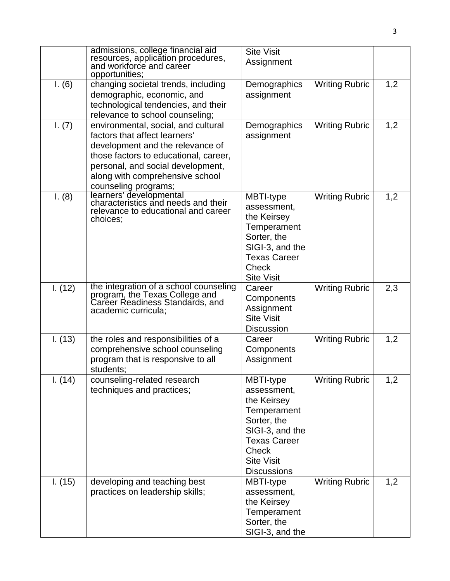|         | admissions, college financial aid<br>resources, application procedures,<br>and workforce and career<br>opportunities;                                                                                                                             | <b>Site Visit</b><br>Assignment                                                                                                                                            |                       |     |
|---------|---------------------------------------------------------------------------------------------------------------------------------------------------------------------------------------------------------------------------------------------------|----------------------------------------------------------------------------------------------------------------------------------------------------------------------------|-----------------------|-----|
| I. (6)  | changing societal trends, including<br>demographic, economic, and<br>technological tendencies, and their<br>relevance to school counseling;                                                                                                       | Demographics<br>assignment                                                                                                                                                 | <b>Writing Rubric</b> | 1,2 |
| I. (7)  | environmental, social, and cultural<br>factors that affect learners'<br>development and the relevance of<br>those factors to educational, career,<br>personal, and social development,<br>along with comprehensive school<br>counseling programs; | Demographics<br>assignment                                                                                                                                                 | <b>Writing Rubric</b> | 1,2 |
| I. (8)  | learners' developmental<br>characteristics and needs and their<br>relevance to educational and career<br>choices;                                                                                                                                 | MBTI-type<br>assessment,<br>the Keirsey<br>Temperament<br>Sorter, the<br>SIGI-3, and the<br><b>Texas Career</b><br>Check<br><b>Site Visit</b>                              | <b>Writing Rubric</b> | 1,2 |
| 1. (12) | the integration of a school counseling<br>program, the Texas College and<br>Career Readiness Standards, and<br>academic curricula;                                                                                                                | Career<br>Components<br>Assignment<br><b>Site Visit</b><br><b>Discussion</b>                                                                                               | <b>Writing Rubric</b> | 2,3 |
| I. (13) | the roles and responsibilities of a<br>comprehensive school counseling<br>program that is responsive to all<br>students:                                                                                                                          | Career<br>Components<br>Assignment                                                                                                                                         | <b>Writing Rubric</b> | 1,2 |
| 1. (14) | counseling-related research<br>techniques and practices;                                                                                                                                                                                          | MBTI-type<br>assessment,<br>the Keirsey<br>Temperament<br>Sorter, the<br>SIGI-3, and the<br><b>Texas Career</b><br><b>Check</b><br><b>Site Visit</b><br><b>Discussions</b> | <b>Writing Rubric</b> | 1,2 |
| 1. (15) | developing and teaching best<br>practices on leadership skills;                                                                                                                                                                                   | MBTI-type<br>assessment,<br>the Keirsey<br>Temperament<br>Sorter, the<br>SIGI-3, and the                                                                                   | <b>Writing Rubric</b> | 1,2 |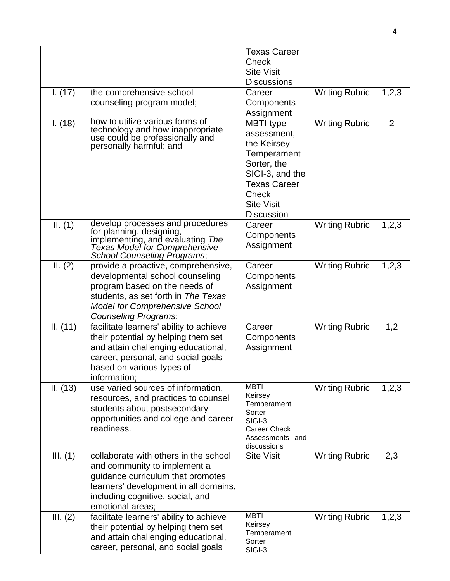|            |                                                                                                                                   | <b>Texas Career</b>                     |                       |                |
|------------|-----------------------------------------------------------------------------------------------------------------------------------|-----------------------------------------|-----------------------|----------------|
|            |                                                                                                                                   | Check                                   |                       |                |
|            |                                                                                                                                   | <b>Site Visit</b><br><b>Discussions</b> |                       |                |
| 1. (17)    | the comprehensive school                                                                                                          | Career                                  | <b>Writing Rubric</b> | 1,2,3          |
|            | counseling program model;                                                                                                         | Components                              |                       |                |
|            |                                                                                                                                   | Assignment                              |                       |                |
| I. (18)    | how to utilize various forms of                                                                                                   | MBTI-type                               | <b>Writing Rubric</b> | $\overline{2}$ |
|            | technology and how inappropriate<br>use could be professionally and                                                               | assessment,                             |                       |                |
|            | personally harmful; and                                                                                                           | the Keirsey                             |                       |                |
|            |                                                                                                                                   | Temperament                             |                       |                |
|            |                                                                                                                                   | Sorter, the                             |                       |                |
|            |                                                                                                                                   | SIGI-3, and the<br><b>Texas Career</b>  |                       |                |
|            |                                                                                                                                   | <b>Check</b>                            |                       |                |
|            |                                                                                                                                   | <b>Site Visit</b>                       |                       |                |
|            |                                                                                                                                   | <b>Discussion</b>                       |                       |                |
| II. (1)    | develop processes and procedures<br>for planning, designing,<br>implementing, and evaluating The<br>Texas Model for Comprehensive | Career                                  | <b>Writing Rubric</b> | 1,2,3          |
|            |                                                                                                                                   | Components                              |                       |                |
|            |                                                                                                                                   | Assignment                              |                       |                |
| II. (2)    | School Counseling Programs;<br>provide a proactive, comprehensive,                                                                | Career                                  | <b>Writing Rubric</b> | 1,2,3          |
|            | developmental school counseling                                                                                                   | Components                              |                       |                |
|            | program based on the needs of                                                                                                     | Assignment                              |                       |                |
|            | students, as set forth in The Texas                                                                                               |                                         |                       |                |
|            | <b>Model for Comprehensive School</b>                                                                                             |                                         |                       |                |
|            | Counseling Programs;                                                                                                              |                                         |                       |                |
| II. (11)   | facilitate learners' ability to achieve                                                                                           | Career                                  | <b>Writing Rubric</b> | 1,2            |
|            | their potential by helping them set                                                                                               | Components<br>Assignment                |                       |                |
|            | and attain challenging educational,<br>career, personal, and social goals                                                         |                                         |                       |                |
|            | based on various types of                                                                                                         |                                         |                       |                |
|            | information;                                                                                                                      |                                         |                       |                |
| II. (13)   | use varied sources of information,                                                                                                | <b>MBTI</b>                             | <b>Writing Rubric</b> | 1,2,3          |
|            | resources, and practices to counsel                                                                                               | Keirsey<br>Temperament                  |                       |                |
|            | students about postsecondary                                                                                                      | Sorter                                  |                       |                |
|            | opportunities and college and career<br>readiness.                                                                                | SIGI-3                                  |                       |                |
|            |                                                                                                                                   | <b>Career Check</b><br>Assessments and  |                       |                |
|            |                                                                                                                                   | discussions                             |                       |                |
| III. (1)   | collaborate with others in the school                                                                                             | <b>Site Visit</b>                       | <b>Writing Rubric</b> | 2,3            |
|            | and community to implement a                                                                                                      |                                         |                       |                |
|            | guidance curriculum that promotes<br>learners' development in all domains,                                                        |                                         |                       |                |
|            | including cognitive, social, and                                                                                                  |                                         |                       |                |
|            | emotional areas;                                                                                                                  |                                         |                       |                |
| III. $(2)$ | facilitate learners' ability to achieve                                                                                           | <b>MBTI</b>                             | <b>Writing Rubric</b> | 1,2,3          |
|            | their potential by helping them set                                                                                               | Keirsey                                 |                       |                |
|            | and attain challenging educational,                                                                                               | Temperament<br>Sorter                   |                       |                |
|            | career, personal, and social goals                                                                                                | SIGI-3                                  |                       |                |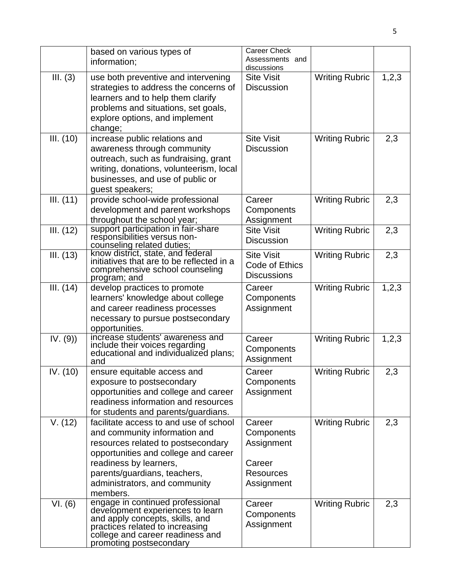|           | based on various types of<br>information;                                                                                                                                                                                                                    | <b>Career Check</b><br>Assessments and<br>discussions                          |                       |       |
|-----------|--------------------------------------------------------------------------------------------------------------------------------------------------------------------------------------------------------------------------------------------------------------|--------------------------------------------------------------------------------|-----------------------|-------|
| III. (3)  | use both preventive and intervening<br>strategies to address the concerns of<br>learners and to help them clarify<br>problems and situations, set goals,<br>explore options, and implement<br>change;                                                        | <b>Site Visit</b><br><b>Discussion</b>                                         | <b>Writing Rubric</b> | 1,2,3 |
| III. (10) | increase public relations and<br>awareness through community<br>outreach, such as fundraising, grant<br>writing, donations, volunteerism, local<br>businesses, and use of public or<br>guest speakers;                                                       | <b>Site Visit</b><br><b>Discussion</b>                                         | <b>Writing Rubric</b> | 2,3   |
| III. (11) | provide school-wide professional<br>development and parent workshops<br>throughout the school year;                                                                                                                                                          | Career<br>Components<br>Assignment                                             | <b>Writing Rubric</b> | 2,3   |
| III. (12) | support participation in fair-share<br>responsibilities versus non-<br>counseling related duties;                                                                                                                                                            | <b>Site Visit</b><br><b>Discussion</b>                                         | <b>Writing Rubric</b> | 2,3   |
| III. (13) | know district, state, and federal<br>initiatives that are to be reflected in a<br>comprehensive school counseling<br>program; and                                                                                                                            | <b>Site Visit</b><br>Code of Ethics<br><b>Discussions</b>                      | <b>Writing Rubric</b> | 2,3   |
| III. (14) | develop practices to promote<br>learners' knowledge about college<br>and career readiness processes<br>necessary to pursue postsecondary<br>opportunities.                                                                                                   | Career<br>Components<br>Assignment                                             | <b>Writing Rubric</b> | 1,2,3 |
| IV. (9)   | increase students' awareness and<br>include their voices regarding<br>educational and individualized plans;<br>and                                                                                                                                           | Career<br>Components<br>Assignment                                             | <b>Writing Rubric</b> | 1,2,3 |
| IV. (10)  | ensure equitable access and<br>exposure to postsecondary<br>opportunities and college and career<br>readiness information and resources<br>for students and parents/guardians.                                                                               | Career<br>Components<br>Assignment                                             | <b>Writing Rubric</b> | 2,3   |
| V. (12)   | facilitate access to and use of school<br>and community information and<br>resources related to postsecondary<br>opportunities and college and career<br>readiness by learners,<br>parents/guardians, teachers,<br>administrators, and community<br>members. | Career<br>Components<br>Assignment<br>Career<br><b>Resources</b><br>Assignment | <b>Writing Rubric</b> | 2,3   |
| VI. (6)   | engage in continued professional<br>development experiences to learn<br>and apply concepts, skills, and<br>practices related to increasing<br>college and career readiness and<br>promoting postsecondary                                                    | Career<br>Components<br>Assignment                                             | <b>Writing Rubric</b> | 2,3   |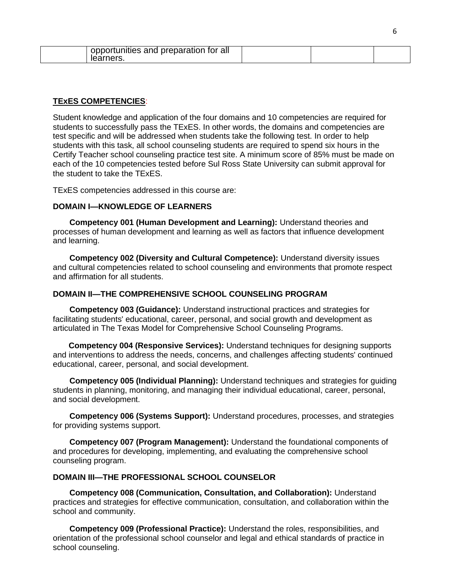| opportunities and preparation for all<br>learners. |  |  |
|----------------------------------------------------|--|--|
|                                                    |  |  |

### **TExES COMPETENCIES**:

Student knowledge and application of the four domains and 10 competencies are required for students to successfully pass the TExES. In other words, the domains and competencies are test specific and will be addressed when students take the following test. In order to help students with this task, all school counseling students are required to spend six hours in the Certify Teacher school counseling practice test site. A minimum score of 85% must be made on each of the 10 competencies tested before Sul Ross State University can submit approval for the student to take the TExES.

TExES competencies addressed in this course are:

### **DOMAIN I—KNOWLEDGE OF LEARNERS**

**Competency 001 (Human Development and Learning):** Understand theories and processes of human development and learning as well as factors that influence development and learning.

**Competency 002 (Diversity and Cultural Competence):** Understand diversity issues and cultural competencies related to school counseling and environments that promote respect and affirmation for all students.

#### **DOMAIN II—THE COMPREHENSIVE SCHOOL COUNSELING PROGRAM**

**Competency 003 (Guidance):** Understand instructional practices and strategies for facilitating students' educational, career, personal, and social growth and development as articulated in The Texas Model for Comprehensive School Counseling Programs.

 **Competency 004 (Responsive Services):** Understand techniques for designing supports and interventions to address the needs, concerns, and challenges affecting students' continued educational, career, personal, and social development.

**Competency 005 (Individual Planning):** Understand techniques and strategies for guiding students in planning, monitoring, and managing their individual educational, career, personal, and social development.

**Competency 006 (Systems Support):** Understand procedures, processes, and strategies for providing systems support.

**Competency 007 (Program Management):** Understand the foundational components of and procedures for developing, implementing, and evaluating the comprehensive school counseling program.

#### **DOMAIN III—THE PROFESSIONAL SCHOOL COUNSELOR**

**Competency 008 (Communication, Consultation, and Collaboration):** Understand practices and strategies for effective communication, consultation, and collaboration within the school and community.

**Competency 009 (Professional Practice):** Understand the roles, responsibilities, and orientation of the professional school counselor and legal and ethical standards of practice in school counseling.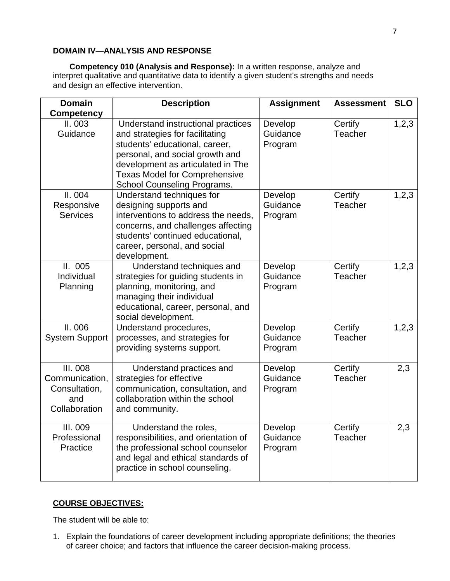## **DOMAIN IV—ANALYSIS AND RESPONSE**

**Competency 010 (Analysis and Response):** In a written response, analyze and interpret qualitative and quantitative data to identify a given student's strengths and needs and design an effective intervention.

| <b>Domain</b>                                                              | <b>Description</b>                                                                                                                                                                                                                                     | <b>Assignment</b>              | <b>Assessment</b>  | <b>SLO</b> |
|----------------------------------------------------------------------------|--------------------------------------------------------------------------------------------------------------------------------------------------------------------------------------------------------------------------------------------------------|--------------------------------|--------------------|------------|
| <b>Competency</b><br>II.003<br>Guidance                                    | Understand instructional practices<br>and strategies for facilitating<br>students' educational, career,<br>personal, and social growth and<br>development as articulated in The<br><b>Texas Model for Comprehensive</b><br>School Counseling Programs. | Develop<br>Guidance<br>Program | Certify<br>Teacher | 1,2,3      |
| II.004<br>Responsive<br><b>Services</b>                                    | Understand techniques for<br>designing supports and<br>interventions to address the needs,<br>concerns, and challenges affecting<br>students' continued educational,<br>career, personal, and social<br>development.                                   | Develop<br>Guidance<br>Program | Certify<br>Teacher | 1,2,3      |
| II.005<br>Individual<br>Planning                                           | Understand techniques and<br>strategies for guiding students in<br>planning, monitoring, and<br>managing their individual<br>educational, career, personal, and<br>social development.                                                                 | Develop<br>Guidance<br>Program | Certify<br>Teacher | 1,2,3      |
| II. 006<br><b>System Support</b>                                           | Understand procedures,<br>processes, and strategies for<br>providing systems support.                                                                                                                                                                  | Develop<br>Guidance<br>Program | Certify<br>Teacher | 1,2,3      |
| <b>III. 008</b><br>Communication,<br>Consultation,<br>and<br>Collaboration | Understand practices and<br>strategies for effective<br>communication, consultation, and<br>collaboration within the school<br>and community.                                                                                                          | Develop<br>Guidance<br>Program | Certify<br>Teacher | 2,3        |
| III. 009<br>Professional<br>Practice                                       | Understand the roles,<br>responsibilities, and orientation of<br>the professional school counselor<br>and legal and ethical standards of<br>practice in school counseling.                                                                             | Develop<br>Guidance<br>Program | Certify<br>Teacher | 2,3        |

## **COURSE OBJECTIVES:**

The student will be able to:

1. Explain the foundations of career development including appropriate definitions; the theories of career choice; and factors that influence the career decision-making process.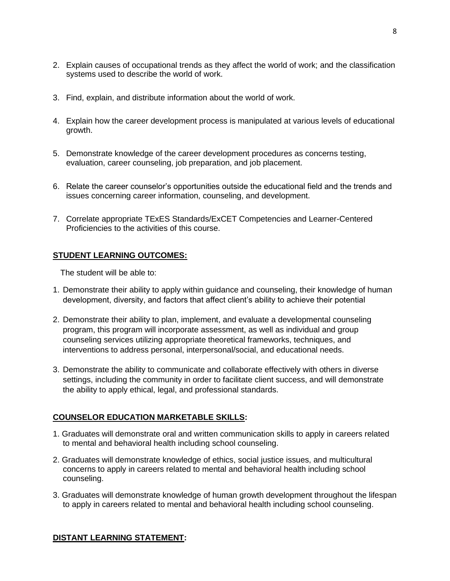- 2. Explain causes of occupational trends as they affect the world of work; and the classification systems used to describe the world of work.
- 3. Find, explain, and distribute information about the world of work.
- 4. Explain how the career development process is manipulated at various levels of educational growth.
- 5. Demonstrate knowledge of the career development procedures as concerns testing, evaluation, career counseling, job preparation, and job placement.
- 6. Relate the career counselor's opportunities outside the educational field and the trends and issues concerning career information, counseling, and development.
- 7. Correlate appropriate TExES Standards/ExCET Competencies and Learner-Centered Proficiencies to the activities of this course.

## **STUDENT LEARNING OUTCOMES:**

The student will be able to:

- 1. Demonstrate their ability to apply within guidance and counseling, their knowledge of human development, diversity, and factors that affect client's ability to achieve their potential
- 2. Demonstrate their ability to plan, implement, and evaluate a developmental counseling program, this program will incorporate assessment, as well as individual and group counseling services utilizing appropriate theoretical frameworks, techniques, and interventions to address personal, interpersonal/social, and educational needs.
- 3. Demonstrate the ability to communicate and collaborate effectively with others in diverse settings, including the community in order to facilitate client success, and will demonstrate the ability to apply ethical, legal, and professional standards.

## **COUNSELOR EDUCATION MARKETABLE SKILLS:**

- 1. Graduates will demonstrate oral and written communication skills to apply in careers related to mental and behavioral health including school counseling.
- 2. Graduates will demonstrate knowledge of ethics, social justice issues, and multicultural concerns to apply in careers related to mental and behavioral health including school counseling.
- 3. Graduates will demonstrate knowledge of human growth development throughout the lifespan to apply in careers related to mental and behavioral health including school counseling.

## **DISTANT LEARNING STATEMENT:**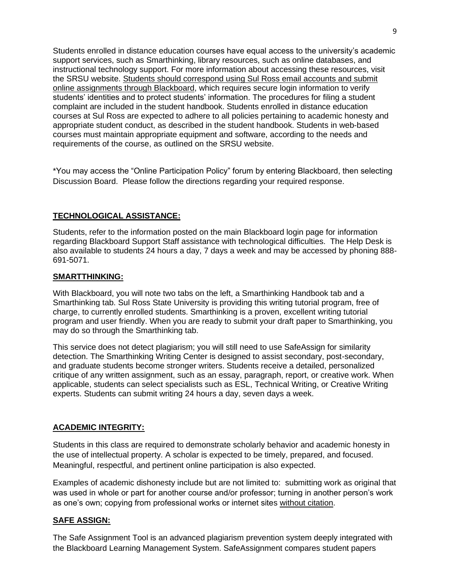Students enrolled in distance education courses have equal access to the university's academic support services, such as Smarthinking, library resources, such as online databases, and instructional technology support. For more information about accessing these resources, visit the SRSU website. Students should correspond using Sul Ross email accounts and submit online assignments through Blackboard, which requires secure login information to verify students' identities and to protect students' information. The procedures for filing a student complaint are included in the student handbook. Students enrolled in distance education courses at Sul Ross are expected to adhere to all policies pertaining to academic honesty and appropriate student conduct, as described in the student handbook. Students in web-based courses must maintain appropriate equipment and software, according to the needs and requirements of the course, as outlined on the SRSU website.

\*You may access the "Online Participation Policy" forum by entering Blackboard, then selecting Discussion Board. Please follow the directions regarding your required response.

### **TECHNOLOGICAL ASSISTANCE:**

Students, refer to the information posted on the main Blackboard login page for information regarding Blackboard Support Staff assistance with technological difficulties. The Help Desk is also available to students 24 hours a day, 7 days a week and may be accessed by phoning 888- 691-5071.

#### **SMARTTHINKING:**

With Blackboard, you will note two tabs on the left, a Smarthinking Handbook tab and a Smarthinking tab. Sul Ross State University is providing this writing tutorial program, free of charge, to currently enrolled students. Smarthinking is a proven, excellent writing tutorial program and user friendly. When you are ready to submit your draft paper to Smarthinking, you may do so through the Smarthinking tab.

This service does not detect plagiarism; you will still need to use SafeAssign for similarity detection. The Smarthinking Writing Center is designed to assist secondary, post-secondary, and graduate students become stronger writers. Students receive a detailed, personalized critique of any written assignment, such as an essay, paragraph, report, or creative work. When applicable, students can select specialists such as ESL, Technical Writing, or Creative Writing experts. Students can submit writing 24 hours a day, seven days a week.

#### **ACADEMIC INTEGRITY:**

Students in this class are required to demonstrate scholarly behavior and academic honesty in the use of intellectual property. A scholar is expected to be timely, prepared, and focused. Meaningful, respectful, and pertinent online participation is also expected.

Examples of academic dishonesty include but are not limited to: submitting work as original that was used in whole or part for another course and/or professor; turning in another person's work as one's own; copying from professional works or internet sites without citation.

#### **SAFE ASSIGN:**

The Safe Assignment Tool is an advanced plagiarism prevention system deeply integrated with the Blackboard Learning Management System. SafeAssignment compares student papers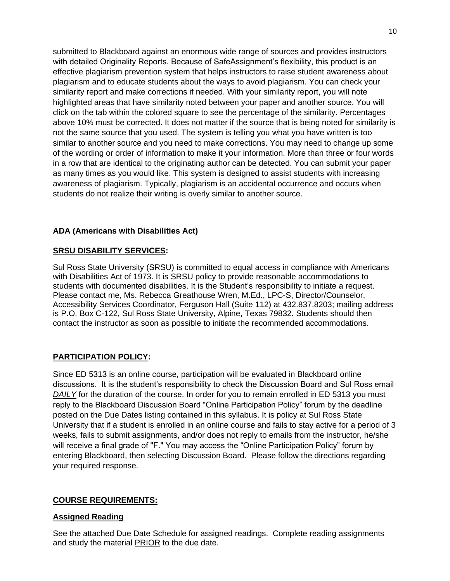submitted to Blackboard against an enormous wide range of sources and provides instructors with detailed Originality Reports. Because of SafeAssignment's flexibility, this product is an effective plagiarism prevention system that helps instructors to raise student awareness about plagiarism and to educate students about the ways to avoid plagiarism. You can check your similarity report and make corrections if needed. With your similarity report, you will note highlighted areas that have similarity noted between your paper and another source. You will click on the tab within the colored square to see the percentage of the similarity. Percentages above 10% must be corrected. It does not matter if the source that is being noted for similarity is not the same source that you used. The system is telling you what you have written is too similar to another source and you need to make corrections. You may need to change up some of the wording or order of information to make it your information. More than three or four words in a row that are identical to the originating author can be detected. You can submit your paper as many times as you would like. This system is designed to assist students with increasing awareness of plagiarism. Typically, plagiarism is an accidental occurrence and occurs when students do not realize their writing is overly similar to another source.

## **ADA (Americans with Disabilities Act)**

### **SRSU DISABILITY SERVICES:**

Sul Ross State University (SRSU) is committed to equal access in compliance with Americans with Disabilities Act of 1973. It is SRSU policy to provide reasonable accommodations to students with documented disabilities. It is the Student's responsibility to initiate a request. Please contact me, Ms. Rebecca Greathouse Wren, M.Ed., LPC-S, Director/Counselor, Accessibility Services Coordinator, Ferguson Hall (Suite 112) at 432.837.8203; mailing address is P.O. Box C-122, Sul Ross State University, Alpine, Texas 79832. Students should then contact the instructor as soon as possible to initiate the recommended accommodations.

## **PARTICIPATION POLICY:**

Since ED 5313 is an online course, participation will be evaluated in Blackboard online discussions. It is the student's responsibility to check the Discussion Board and Sul Ross email **DAILY** for the duration of the course. In order for you to remain enrolled in ED 5313 you must reply to the Blackboard Discussion Board "Online Participation Policy" forum by the deadline posted on the Due Dates listing contained in this syllabus. It is policy at Sul Ross State University that if a student is enrolled in an online course and fails to stay active for a period of 3 weeks, fails to submit assignments, and/or does not reply to emails from the instructor, he/she will receive a final grade of "F." You may access the "Online Participation Policy" forum by entering Blackboard, then selecting Discussion Board. Please follow the directions regarding your required response.

## **COURSE REQUIREMENTS:**

## **Assigned Reading**

See the attached Due Date Schedule for assigned readings. Complete reading assignments and study the material **PRIOR** to the due date.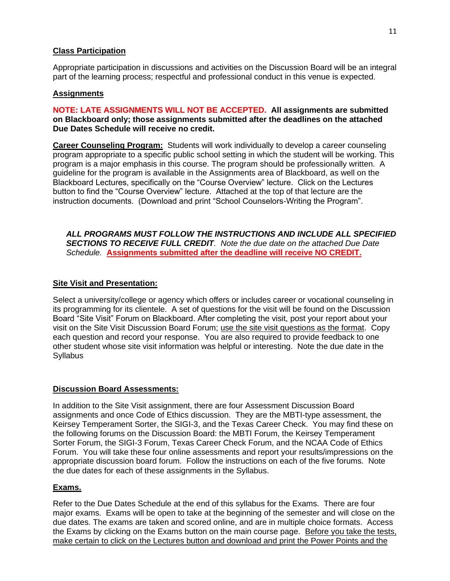# **Class Participation**

Appropriate participation in discussions and activities on the Discussion Board will be an integral part of the learning process; respectful and professional conduct in this venue is expected.

## **Assignments**

### **NOTE: LATE ASSIGNMENTS WILL NOT BE ACCEPTED. All assignments are submitted on Blackboard only; those assignments submitted after the deadlines on the attached Due Dates Schedule will receive no credit.**

**Career Counseling Program:** Students will work individually to develop a career counseling program appropriate to a specific public school setting in which the student will be working. This program is a major emphasis in this course. The program should be professionally written. A guideline for the program is available in the Assignments area of Blackboard, as well on the Blackboard Lectures, specifically on the "Course Overview" lecture. Click on the Lectures button to find the "Course Overview" lecture. Attached at the top of that lecture are the instruction documents. (Download and print "School Counselors-Writing the Program".

*ALL PROGRAMS MUST FOLLOW THE INSTRUCTIONS AND INCLUDE ALL SPECIFIED SECTIONS TO RECEIVE FULL CREDIT. Note the due date on the attached Due Date Schedule.* **Assignments submitted after the deadline will receive NO CREDIT.**

## **Site Visit and Presentation:**

Select a university/college or agency which offers or includes career or vocational counseling in its programming for its clientele. A set of questions for the visit will be found on the Discussion Board "Site Visit" Forum on Blackboard. After completing the visit, post your report about your visit on the Site Visit Discussion Board Forum; use the site visit questions as the format. Copy each question and record your response. You are also required to provide feedback to one other student whose site visit information was helpful or interesting. Note the due date in the **Syllabus** 

## **Discussion Board Assessments:**

In addition to the Site Visit assignment, there are four Assessment Discussion Board assignments and once Code of Ethics discussion. They are the MBTI-type assessment, the Keirsey Temperament Sorter, the SIGI-3, and the Texas Career Check. You may find these on the following forums on the Discussion Board: the MBTI Forum, the Keirsey Temperament Sorter Forum, the SIGI-3 Forum, Texas Career Check Forum, and the NCAA Code of Ethics Forum. You will take these four online assessments and report your results/impressions on the appropriate discussion board forum. Follow the instructions on each of the five forums. Note the due dates for each of these assignments in the Syllabus.

## **Exams.**

Refer to the Due Dates Schedule at the end of this syllabus for the Exams. There are four major exams. Exams will be open to take at the beginning of the semester and will close on the due dates. The exams are taken and scored online, and are in multiple choice formats. Access the Exams by clicking on the Exams button on the main course page. Before you take the tests, make certain to click on the Lectures button and download and print the Power Points and the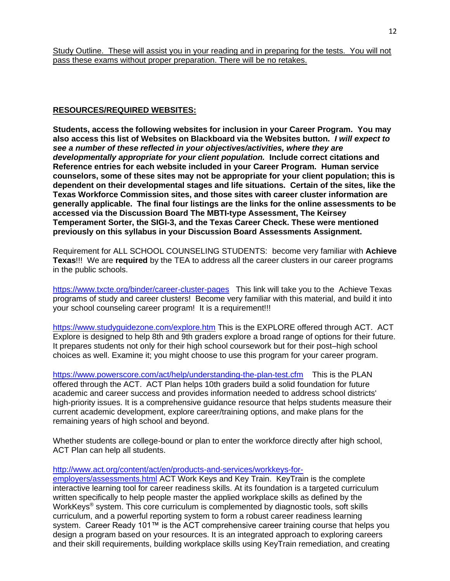### **RESOURCES/REQUIRED WEBSITES:**

**Students, access the following websites for inclusion in your Career Program. You may also access this list of Websites on Blackboard via the Websites button.** *I will expect to see a number of these reflected in your objectives/activities, where they are developmentally appropriate for your client population.* **Include correct citations and Reference entries for each website included in your Career Program. Human service counselors, some of these sites may not be appropriate for your client population; this is dependent on their developmental stages and life situations. Certain of the sites, like the Texas Workforce Commission sites, and those sites with career cluster information are generally applicable. The final four listings are the links for the online assessments to be accessed via the Discussion Board The MBTI-type Assessment, The Keirsey Temperament Sorter, the SIGI-3, and the Texas Career Check. These were mentioned previously on this syllabus in your Discussion Board Assessments Assignment.**

Requirement for ALL SCHOOL COUNSELING STUDENTS: become very familiar with **Achieve Texas**!!! We are **required** by the TEA to address all the career clusters in our career programs in the public schools.

<https://www.txcte.org/binder/career-cluster-pages>This link will take you to the Achieve Texas programs of study and career clusters! Become very familiar with this material, and build it into your school counseling career program! It is a requirement!!!

<https://www.studyguidezone.com/explore.htm> This is the EXPLORE offered through ACT. ACT Explore is designed to help 8th and 9th graders explore a broad range of options for their future. It prepares students not only for their high school coursework but for their post–high school choices as well. Examine it; you might choose to use this program for your career program.

<https://www.powerscore.com/act/help/understanding-the-plan-test.cfm> This is the PLAN offered through the ACT. ACT Plan helps 10th graders build a solid foundation for future academic and career success and provides information needed to address school districts' high-priority issues. It is a comprehensive guidance resource that helps students measure their current academic development, explore career/training options, and make plans for the remaining years of high school and beyond.

Whether students are college-bound or plan to enter the workforce directly after high school, ACT Plan can help all students.

#### [http://www.act.org/content/act/en/products-and-services/workkeys-for-](http://www.act.org/content/act/en/products-and-services/workkeys-for-employers/assessments.html)

[employers/assessments.html](http://www.act.org/content/act/en/products-and-services/workkeys-for-employers/assessments.html) ACT Work Keys and Key Train. KeyTrain is the complete interactive learning tool for career readiness skills. At its foundation is a targeted curriculum written specifically to help people master the applied workplace skills as defined by the WorkKeys<sup>®</sup> system. This core curriculum is complemented by diagnostic tools, soft skills curriculum, and a powerful reporting system to form a robust career readiness learning system. Career Ready 101™ is the ACT comprehensive career training course that helps you design a program based on your resources. It is an integrated approach to exploring careers and their skill requirements, building workplace skills using KeyTrain remediation, and creating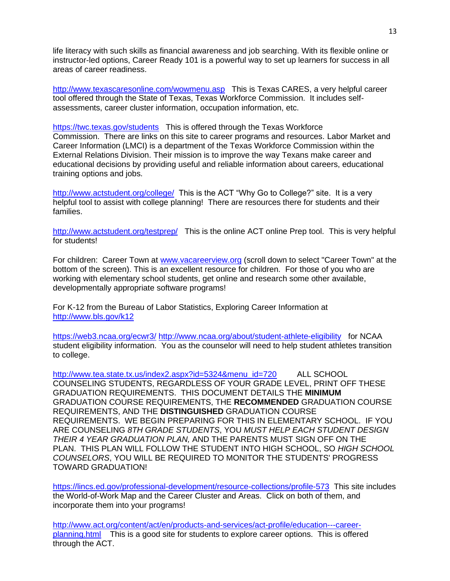life literacy with such skills as financial awareness and job searching. With its flexible online or instructor-led options, Career Ready 101 is a powerful way to set up learners for success in all areas of career readiness.

<http://www.texascaresonline.com/wowmenu.asp> This is Texas CARES, a very helpful career tool offered through the State of Texas, Texas Workforce Commission. It includes selfassessments, career cluster information, occupation information, etc.

<https://twc.texas.gov/students>This is offered through the Texas Workforce Commission. There are links on this site to career programs and resources. Labor Market and Career Information (LMCI) is a department of the Texas Workforce Commission within the External Relations Division. Their mission is to improve the way Texans make career and educational decisions by providing useful and reliable information about careers, educational training options and jobs.

<http://www.actstudent.org/college/>This is the ACT "Why Go to College?" site. It is a very helpful tool to assist with college planning! There are resources there for students and their families.

<http://www.actstudent.org/testprep/> This is the online ACT online Prep tool. This is very helpful for students!

For children: Career Town at [www.vacareerview.org](http://www.vacareerview.org/) (scroll down to select "Career Town" at the bottom of the screen). This is an excellent resource for children. For those of you who are working with elementary school students, get online and research some other available, developmentally appropriate software programs!

For K-12 from the Bureau of Labor Statistics, Exploring Career Information at <http://www.bls.gov/k12>

<https://web3.ncaa.org/ecwr3/> <http://www.ncaa.org/about/student-athlete-eligibility>for NCAA student eligibility information. You as the counselor will need to help student athletes transition to college.

[http://www.tea.state.tx.us/index2.aspx?id=5324&menu\\_id=720](http://www.tea.state.tx.us/index2.aspx?id=5324&menu_id=720) ALL SCHOOL COUNSELING STUDENTS, REGARDLESS OF YOUR GRADE LEVEL, PRINT OFF THESE GRADUATION REQUIREMENTS. THIS DOCUMENT DETAILS THE **MINIMUM** GRADUATION COURSE REQUIREMENTS, THE **RECOMMENDED** GRADUATION COURSE REQUIREMENTS, AND THE **DISTINGUISHED** GRADUATION COURSE REQUIREMENTS. WE BEGIN PREPARING FOR THIS IN ELEMENTARY SCHOOL. IF YOU ARE COUNSELING *8TH GRADE STUDENTS*, YOU *MUST HELP EACH STUDENT DESIGN THEIR 4 YEAR GRADUATION PLAN,* AND THE PARENTS MUST SIGN OFF ON THE PLAN. THIS PLAN WILL FOLLOW THE STUDENT INTO HIGH SCHOOL, SO *HIGH SCHOOL COUNSELORS*, YOU WILL BE REQUIRED TO MONITOR THE STUDENTS' PROGRESS TOWARD GRADUATION!

<https://lincs.ed.gov/professional-development/resource-collections/profile-573> This site includes the World-of-Work Map and the Career Cluster and Areas. Click on both of them, and incorporate them into your programs!

[http://www.act.org/content/act/en/products-and-services/act-profile/education---career](http://www.act.org/content/act/en/products-and-services/act-profile/education---career-planning.html)[planning.html](http://www.act.org/content/act/en/products-and-services/act-profile/education---career-planning.html) This is a good site for students to explore career options. This is offered through the ACT.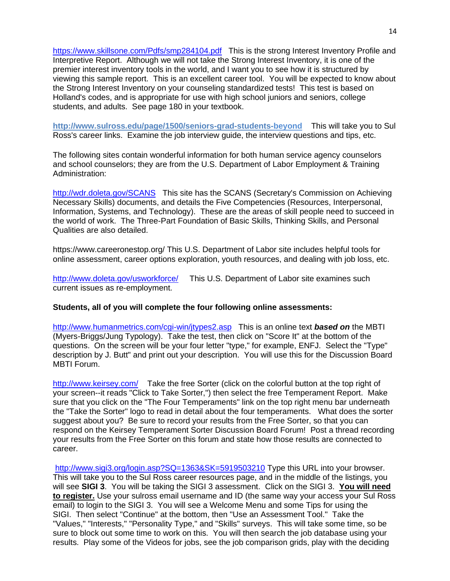<https://www.skillsone.com/Pdfs/smp284104.pdf>This is the strong Interest Inventory Profile and Interpretive Report. Although we will not take the Strong Interest Inventory, it is one of the premier interest inventory tools in the world, and I want you to see how it is structured by viewing this sample report. This is an excellent career tool. You will be expected to know about the Strong Interest Inventory on your counseling standardized tests! This test is based on Holland's codes, and is appropriate for use with high school juniors and seniors, college students, and adults. See page 180 in your textbook.

**http://www.sulross.edu/page/1500/seniors-grad-students-beyond** This will take you to Sul Ross's career links. Examine the job interview guide, the interview questions and tips, etc.

The following sites contain wonderful information for both human service agency counselors and school counselors; they are from the U.S. Department of Labor Employment & Training Administration:

<http://wdr.doleta.gov/SCANS> This site has the SCANS (Secretary's Commission on Achieving Necessary Skills) documents, and details the Five Competencies (Resources, Interpersonal, Information, Systems, and Technology). These are the areas of skill people need to succeed in the world of work. The Three-Part Foundation of Basic Skills, Thinking Skills, and Personal Qualities are also detailed.

https://www.careeronestop.org/ This U.S. Department of Labor site includes helpful tools for online assessment, career options exploration, youth resources, and dealing with job loss, etc.

<http://www.doleta.gov/usworkforce/> This U.S. Department of Labor site examines such current issues as re-employment.

#### **Students, all of you will complete the four following online assessments:**

[http://www.humanmetrics.com/cgi-win/jtypes2.asp](http://www.humanmetrics.com/cgi-win/JTypes2.asp) This is an online text *based on* the MBTI (Myers-Briggs/Jung Typology). Take the test, then click on "Score It" at the bottom of the questions. On the screen will be your four letter "type," for example, ENFJ. Select the "Type" description by J. Butt" and print out your description. You will use this for the Discussion Board MBTI Forum.

<http://www.keirsey.com/>Take the free Sorter (click on the colorful button at the top right of your screen--it reads "Click to Take Sorter,") then select the free Temperament Report. Make sure that you click on the "The Four Temperaments" link on the top right menu bar underneath the "Take the Sorter" logo to read in detail about the four temperaments. What does the sorter suggest about you? Be sure to record your results from the Free Sorter, so that you can respond on the Keirsey Temperament Sorter Discussion Board Forum! Post a thread recording your results from the Free Sorter on this forum and state how those results are connected to career.

<http://www.sigi3.org/login.asp?SQ=1363&SK=5919503210> Type this URL into your browser. This will take you to the Sul Ross career resources page, and in the middle of the listings, you will see **SIGI 3**. You will be taking the SIGI 3 assessment. Click on the SIGI 3. **You will need to register.** Use your sulross email username and ID (the same way your access your Sul Ross email) to login to the SIGI 3. You will see a Welcome Menu and some Tips for using the SIGI. Then select "Continue" at the bottom, then "Use an Assessment Tool." Take the "Values," "Interests," "Personality Type," and "Skills" surveys. This will take some time, so be sure to block out some time to work on this. You will then search the job database using your results. Play some of the Videos for jobs, see the job comparison grids, play with the deciding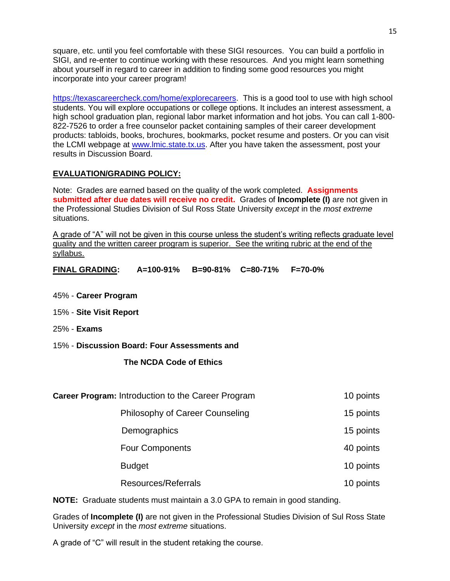square, etc. until you feel comfortable with these SIGI resources. You can build a portfolio in SIGI, and re-enter to continue working with these resources. And you might learn something about yourself in regard to career in addition to finding some good resources you might incorporate into your career program!

[https://texascareercheck.com/home/explorecareers.](https://texascareercheck.com/home/explorecareers) This is a good tool to use with high school students. You will explore occupations or college options. It includes an interest assessment, a high school graduation plan, regional labor market information and hot jobs. You can call 1-800- 822-7526 to order a free counselor packet containing samples of their career development products: tabloids, books, brochures, bookmarks, pocket resume and posters. Or you can visit the LCMI webpage at [www.lmic.state.tx.us.](http://www.lmic.state.tx.us/) After you have taken the assessment, post your results in Discussion Board.

## **EVALUATION/GRADING POLICY:**

Note: Grades are earned based on the quality of the work completed. **Assignments submitted after due dates will receive no credit.** Grades of **Incomplete (I)** are not given in the Professional Studies Division of Sul Ross State University *except* in the *most extreme*  situations.

A grade of "A" will not be given in this course unless the student's writing reflects graduate level quality and the written career program is superior. See the writing rubric at the end of the syllabus.

**FINAL GRADING: A=100-91% B=90-81% C=80-71% F=70-0%**

- 45% **Career Program**
- 15% **Site Visit Report**
- 25% **Exams**

#### 15% - **Discussion Board: Four Assessments and**

## **The NCDA Code of Ethics**

| Career Program: Introduction to the Career Program | 10 points |
|----------------------------------------------------|-----------|
| Philosophy of Career Counseling                    | 15 points |
| Demographics                                       | 15 points |
| <b>Four Components</b>                             | 40 points |
| <b>Budget</b>                                      | 10 points |
| Resources/Referrals                                | 10 points |

**NOTE:** Graduate students must maintain a 3.0 GPA to remain in good standing.

Grades of **Incomplete (I)** are not given in the Professional Studies Division of Sul Ross State University *except* in the *most extreme* situations.

A grade of "C" will result in the student retaking the course.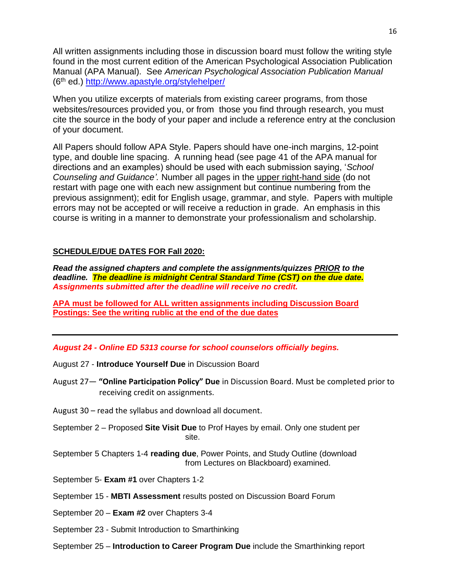All written assignments including those in discussion board must follow the writing style found in the most current edition of the American Psychological Association Publication Manual (APA Manual). See *American Psychological Association Publication Manual* (6th ed.)<http://www.apastyle.org/stylehelper/>

When you utilize excerpts of materials from existing career programs, from those websites/resources provided you, or from those you find through research, you must cite the source in the body of your paper and include a reference entry at the conclusion of your document.

All Papers should follow APA Style. Papers should have one-inch margins, 12-point type, and double line spacing. A running head (see page 41 of the APA manual for directions and an examples) should be used with each submission saying, '*School Counseling and Guidance'.* Number all pages in the upper right-hand side (do not restart with page one with each new assignment but continue numbering from the previous assignment); edit for English usage, grammar, and style. Papers with multiple errors may not be accepted or will receive a reduction in grade. An emphasis in this course is writing in a manner to demonstrate your professionalism and scholarship.

## **SCHEDULE/DUE DATES FOR Fall 2020:**

*Read the assigned chapters and complete the assignments/quizzes PRIOR to the deadline. The deadline is midnight Central Standard Time (CST) on the due date. Assignments submitted after the deadline will receive no credit.*

**APA must be followed for ALL written assignments including Discussion Board Postings: See the writing rublic at the end of the due dates**

#### *August 24 - Online ED 5313 course for school counselors officially begins.*

- August 27 **Introduce Yourself Due** in Discussion Board
- August 27— **"Online Participation Policy" Due** in Discussion Board. Must be completed prior to receiving credit on assignments.
- August 30 read the syllabus and download all document.
- September 2 Proposed **Site Visit Due** to Prof Hayes by email. Only one student per site.
- September 5 Chapters 1-4 **reading due**, Power Points, and Study Outline (download from Lectures on Blackboard) examined.
- September 5- **Exam #1** over Chapters 1-2
- September 15 **MBTI Assessment** results posted on Discussion Board Forum
- September 20 **Exam #2** over Chapters 3-4
- September 23 Submit Introduction to Smarthinking
- September 25 **Introduction to Career Program Due** include the Smarthinking report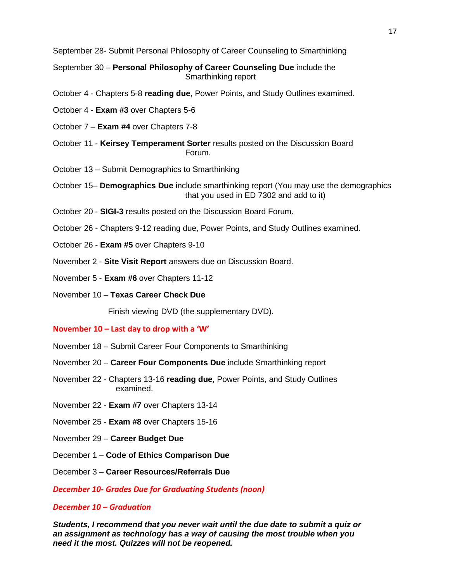September 28- Submit Personal Philosophy of Career Counseling to Smarthinking

September 30 – **Personal Philosophy of Career Counseling Due** include the Smarthinking report

- October 4 Chapters 5-8 **reading due**, Power Points, and Study Outlines examined.
- October 4 **Exam #3** over Chapters 5-6
- October 7 **Exam #4** over Chapters 7-8
- October 11 **Keirsey Temperament Sorter** results posted on the Discussion Board Forum.
- October 13 Submit Demographics to Smarthinking
- October 15– **Demographics Due** include smarthinking report (You may use the demographics that you used in ED 7302 and add to it)
- October 20 **SIGI-3** results posted on the Discussion Board Forum.
- October 26 Chapters 9-12 reading due, Power Points, and Study Outlines examined.
- October 26 **Exam #5** over Chapters 9-10
- November 2 **Site Visit Report** answers due on Discussion Board.
- November 5 **Exam #6** over Chapters 11-12
- November 10 **Texas Career Check Due**

Finish viewing DVD (the supplementary DVD).

#### **November 10 – Last day to drop with a 'W'**

- November 18 Submit Career Four Components to Smarthinking
- November 20 **Career Four Components Due** include Smarthinking report
- November 22 Chapters 13-16 **reading due**, Power Points, and Study Outlines examined.
- November 22 **Exam #7** over Chapters 13-14
- November 25 **Exam #8** over Chapters 15-16
- November 29 **Career Budget Due**
- December 1 **Code of Ethics Comparison Due**
- December 3 **Career Resources/Referrals Due**

*December 10- Grades Due for Graduating Students (noon)*

#### *December 10 – Graduation*

*Students, I recommend that you never wait until the due date to submit a quiz or an assignment as technology has a way of causing the most trouble when you need it the most. Quizzes will not be reopened.*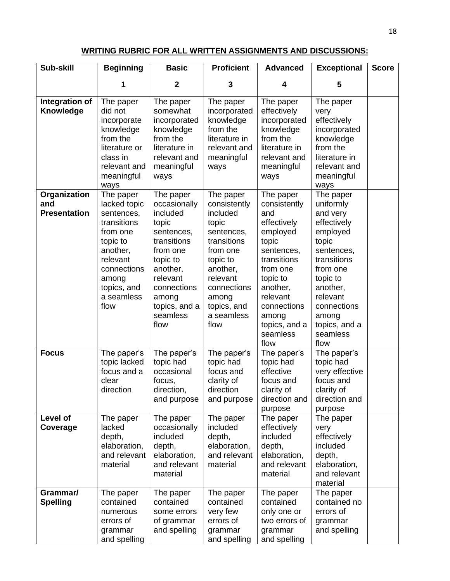# **WRITING RUBRIC FOR ALL WRITTEN ASSIGNMENTS AND DISCUSSIONS:**

| Sub-skill                                  | <b>Beginning</b>                                                                                                                                                    | <b>Basic</b>                                                                                                                                                                             | <b>Proficient</b>                                                                                                                                                                        | <b>Advanced</b>                                                                                                                                                                                                | <b>Exceptional</b>                                                                                                                                                                                               | <b>Score</b> |
|--------------------------------------------|---------------------------------------------------------------------------------------------------------------------------------------------------------------------|------------------------------------------------------------------------------------------------------------------------------------------------------------------------------------------|------------------------------------------------------------------------------------------------------------------------------------------------------------------------------------------|----------------------------------------------------------------------------------------------------------------------------------------------------------------------------------------------------------------|------------------------------------------------------------------------------------------------------------------------------------------------------------------------------------------------------------------|--------------|
|                                            | 1                                                                                                                                                                   | $\mathbf{2}$                                                                                                                                                                             | 3                                                                                                                                                                                        | 4                                                                                                                                                                                                              | 5                                                                                                                                                                                                                |              |
| Integration of<br>Knowledge                | The paper<br>did not<br>incorporate<br>knowledge<br>from the<br>literature or<br>class in<br>relevant and<br>meaningful<br>ways                                     | The paper<br>somewhat<br>incorporated<br>knowledge<br>from the<br>literature in<br>relevant and<br>meaningful<br>ways                                                                    | The paper<br>incorporated<br>knowledge<br>from the<br>literature in<br>relevant and<br>meaningful<br>ways                                                                                | The paper<br>effectively<br>incorporated<br>knowledge<br>from the<br>literature in<br>relevant and<br>meaningful<br>ways                                                                                       | The paper<br>very<br>effectively<br>incorporated<br>knowledge<br>from the<br>literature in<br>relevant and<br>meaningful<br>ways                                                                                 |              |
| Organization<br>and<br><b>Presentation</b> | The paper<br>lacked topic<br>sentences,<br>transitions<br>from one<br>topic to<br>another.<br>relevant<br>connections<br>among<br>topics, and<br>a seamless<br>flow | The paper<br>occasionally<br>included<br>topic<br>sentences,<br>transitions<br>from one<br>topic to<br>another,<br>relevant<br>connections<br>among<br>topics, and a<br>seamless<br>flow | The paper<br>consistently<br>included<br>topic<br>sentences,<br>transitions<br>from one<br>topic to<br>another,<br>relevant<br>connections<br>among<br>topics, and<br>a seamless<br>flow | The paper<br>consistently<br>and<br>effectively<br>employed<br>topic<br>sentences,<br>transitions<br>from one<br>topic to<br>another,<br>relevant<br>connections<br>among<br>topics, and a<br>seamless<br>flow | The paper<br>uniformly<br>and very<br>effectively<br>employed<br>topic<br>sentences,<br>transitions<br>from one<br>topic to<br>another,<br>relevant<br>connections<br>among<br>topics, and a<br>seamless<br>flow |              |
| <b>Focus</b>                               | The paper's<br>topic lacked<br>focus and a<br>clear<br>direction                                                                                                    | The paper's<br>topic had<br>occasional<br>focus,<br>direction,<br>and purpose                                                                                                            | The paper's<br>topic had<br>focus and<br>clarity of<br>direction<br>and purpose                                                                                                          | The paper's<br>topic had<br>effective<br>focus and<br>clarity of<br>direction and<br>purpose                                                                                                                   | The paper's<br>topic had<br>very effective<br>focus and<br>clarity of<br>direction and<br>purpose                                                                                                                |              |
| Level of<br>Coverage                       | The paper<br>lacked<br>depth,<br>elaboration,<br>and relevant<br>material                                                                                           | The paper<br>occasionally<br>included<br>depth,<br>elaboration,<br>and relevant<br>material                                                                                              | The paper<br>included<br>depth,<br>elaboration,<br>and relevant<br>material                                                                                                              | The paper<br>effectively<br>included<br>depth,<br>elaboration,<br>and relevant<br>material                                                                                                                     | The paper<br>very<br>effectively<br>included<br>depth,<br>elaboration,<br>and relevant<br>material                                                                                                               |              |
| Grammar/<br><b>Spelling</b>                | The paper<br>contained<br>numerous<br>errors of<br>grammar<br>and spelling                                                                                          | The paper<br>contained<br>some errors<br>of grammar<br>and spelling                                                                                                                      | The paper<br>contained<br>very few<br>errors of<br>grammar<br>and spelling                                                                                                               | The paper<br>contained<br>only one or<br>two errors of<br>grammar<br>and spelling                                                                                                                              | The paper<br>contained no<br>errors of<br>grammar<br>and spelling                                                                                                                                                |              |